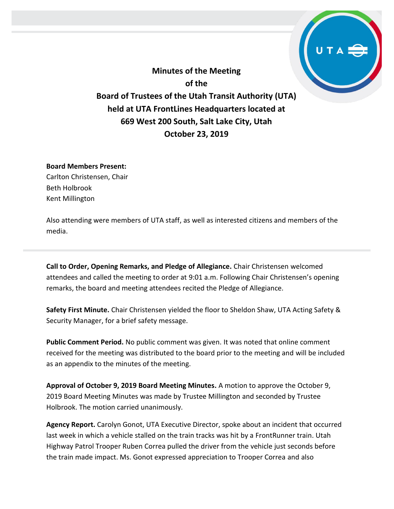**Minutes of the Meeting of the Board of Trustees of the Utah Transit Authority (UTA) held at UTA FrontLines Headquarters located at 669 West 200 South, Salt Lake City, Utah October 23, 2019**

#### **Board Members Present:**

Carlton Christensen, Chair Beth Holbrook Kent Millington

Also attending were members of UTA staff, as well as interested citizens and members of the media.

**Call to Order, Opening Remarks, and Pledge of Allegiance.** Chair Christensen welcomed attendees and called the meeting to order at 9:01 a.m. Following Chair Christensen's opening remarks, the board and meeting attendees recited the Pledge of Allegiance.

**Safety First Minute.** Chair Christensen yielded the floor to Sheldon Shaw, UTA Acting Safety & Security Manager, for a brief safety message.

**Public Comment Period.** No public comment was given. It was noted that online comment received for the meeting was distributed to the board prior to the meeting and will be included as an appendix to the minutes of the meeting.

**Approval of October 9, 2019 Board Meeting Minutes.** A motion to approve the October 9, 2019 Board Meeting Minutes was made by Trustee Millington and seconded by Trustee Holbrook. The motion carried unanimously.

**Agency Report.** Carolyn Gonot, UTA Executive Director, spoke about an incident that occurred last week in which a vehicle stalled on the train tracks was hit by a FrontRunner train. Utah Highway Patrol Trooper Ruben Correa pulled the driver from the vehicle just seconds before the train made impact. Ms. Gonot expressed appreciation to Trooper Correa and also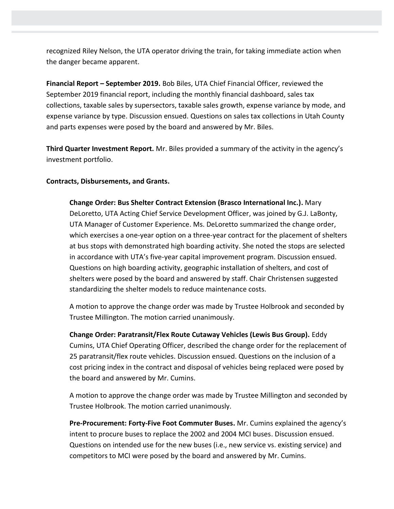recognized Riley Nelson, the UTA operator driving the train, for taking immediate action when the danger became apparent.

**Financial Report – September 2019.** Bob Biles, UTA Chief Financial Officer, reviewed the September 2019 financial report, including the monthly financial dashboard, sales tax collections, taxable sales by supersectors, taxable sales growth, expense variance by mode, and expense variance by type. Discussion ensued. Questions on sales tax collections in Utah County and parts expenses were posed by the board and answered by Mr. Biles.

**Third Quarter Investment Report.** Mr. Biles provided a summary of the activity in the agency's investment portfolio.

#### **Contracts, Disbursements, and Grants.**

**Change Order: Bus Shelter Contract Extension (Brasco International Inc.).** Mary DeLoretto, UTA Acting Chief Service Development Officer, was joined by G.J. LaBonty, UTA Manager of Customer Experience. Ms. DeLoretto summarized the change order, which exercises a one-year option on a three-year contract for the placement of shelters at bus stops with demonstrated high boarding activity. She noted the stops are selected in accordance with UTA's five-year capital improvement program. Discussion ensued. Questions on high boarding activity, geographic installation of shelters, and cost of shelters were posed by the board and answered by staff. Chair Christensen suggested standardizing the shelter models to reduce maintenance costs.

A motion to approve the change order was made by Trustee Holbrook and seconded by Trustee Millington. The motion carried unanimously.

**Change Order: Paratransit/Flex Route Cutaway Vehicles (Lewis Bus Group).** Eddy Cumins, UTA Chief Operating Officer, described the change order for the replacement of 25 paratransit/flex route vehicles. Discussion ensued. Questions on the inclusion of a cost pricing index in the contract and disposal of vehicles being replaced were posed by the board and answered by Mr. Cumins.

A motion to approve the change order was made by Trustee Millington and seconded by Trustee Holbrook. The motion carried unanimously.

**Pre-Procurement: Forty-Five Foot Commuter Buses.** Mr. Cumins explained the agency's intent to procure buses to replace the 2002 and 2004 MCI buses. Discussion ensued. Questions on intended use for the new buses (i.e., new service vs. existing service) and competitors to MCI were posed by the board and answered by Mr. Cumins.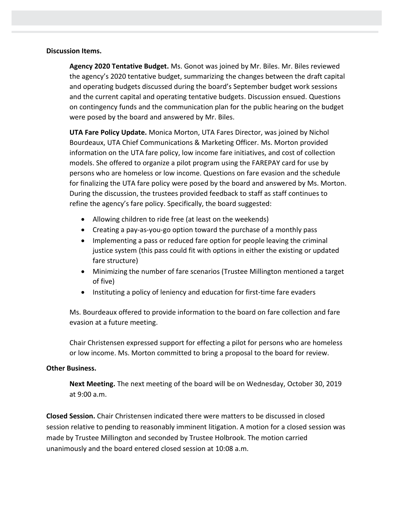#### **Discussion Items.**

**Agency 2020 Tentative Budget.** Ms. Gonot was joined by Mr. Biles. Mr. Biles reviewed the agency's 2020 tentative budget, summarizing the changes between the draft capital and operating budgets discussed during the board's September budget work sessions and the current capital and operating tentative budgets. Discussion ensued. Questions on contingency funds and the communication plan for the public hearing on the budget were posed by the board and answered by Mr. Biles.

**UTA Fare Policy Update.** Monica Morton, UTA Fares Director, was joined by Nichol Bourdeaux, UTA Chief Communications & Marketing Officer. Ms. Morton provided information on the UTA fare policy, low income fare initiatives, and cost of collection models. She offered to organize a pilot program using the FAREPAY card for use by persons who are homeless or low income. Questions on fare evasion and the schedule for finalizing the UTA fare policy were posed by the board and answered by Ms. Morton. During the discussion, the trustees provided feedback to staff as staff continues to refine the agency's fare policy. Specifically, the board suggested:

- Allowing children to ride free (at least on the weekends)
- Creating a pay-as-you-go option toward the purchase of a monthly pass
- Implementing a pass or reduced fare option for people leaving the criminal justice system (this pass could fit with options in either the existing or updated fare structure)
- Minimizing the number of fare scenarios (Trustee Millington mentioned a target of five)
- Instituting a policy of leniency and education for first-time fare evaders

Ms. Bourdeaux offered to provide information to the board on fare collection and fare evasion at a future meeting.

Chair Christensen expressed support for effecting a pilot for persons who are homeless or low income. Ms. Morton committed to bring a proposal to the board for review.

### **Other Business.**

**Next Meeting.** The next meeting of the board will be on Wednesday, October 30, 2019 at 9:00 a.m.

**Closed Session.** Chair Christensen indicated there were matters to be discussed in closed session relative to pending to reasonably imminent litigation. A motion for a closed session was made by Trustee Millington and seconded by Trustee Holbrook. The motion carried unanimously and the board entered closed session at 10:08 a.m.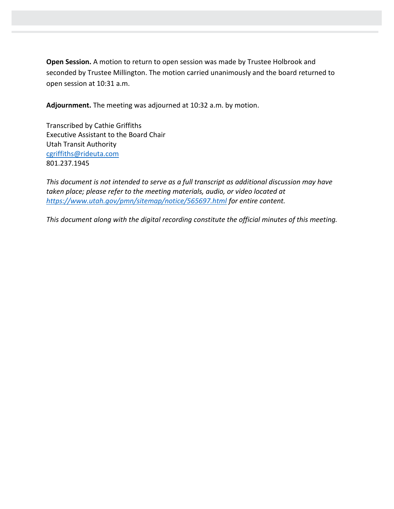**Open Session.** A motion to return to open session was made by Trustee Holbrook and seconded by Trustee Millington. The motion carried unanimously and the board returned to open session at 10:31 a.m.

**Adjournment.** The meeting was adjourned at 10:32 a.m. by motion.

Transcribed by Cathie Griffiths Executive Assistant to the Board Chair Utah Transit Authority [cgriffiths@rideuta.com](mailto:cgriffiths@rideuta.com) 801.237.1945

*This document is not intended to serve as a full transcript as additional discussion may have taken place; please refer to the meeting materials, audio, or video located at <https://www.utah.gov/pmn/sitemap/notice/565697.html> for entire content.*

*This document along with the digital recording constitute the official minutes of this meeting.*